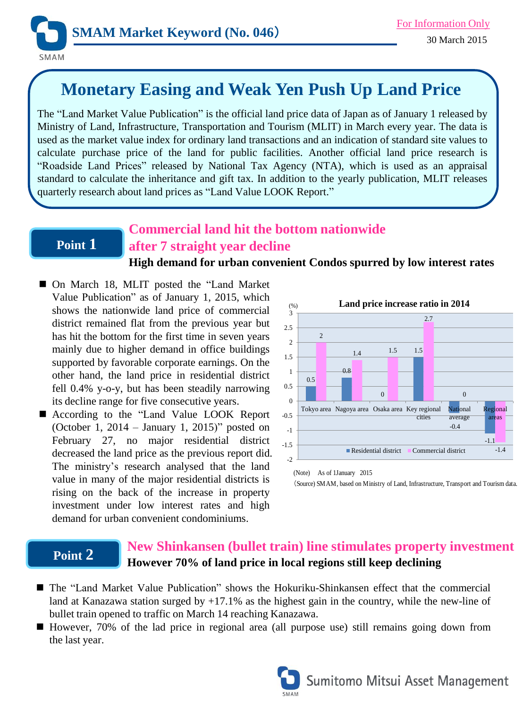

# **Monetary Easing and Weak Yen Push Up Land Price**

The "Land Market Value Publication" is the official land price data of Japan as of January 1 released by Ministry of Land, Infrastructure, Transportation and Tourism (MLIT) in March every year. The data is used as the market value index for ordinary land transactions and an indication of standard site values to calculate purchase price of the land for public facilities. Another official land price research is "Roadside Land Prices" released by National Tax Agency (NTA), which is used as an appraisal standard to calculate the inheritance and gift tax. In addition to the yearly publication, MLIT releases quarterly research about land prices as "Land Value LOOK Report."

### **Point 1**

## **Commercial land hit the bottom nationwide after 7 straight year decline**

**High demand for urban convenient Condos spurred by low interest rates**

- On March 18, MLIT posted the "Land Market Value Publication" as of January 1, 2015, which shows the nationwide land price of commercial district remained flat from the previous year but has hit the bottom for the first time in seven years mainly due to higher demand in office buildings supported by favorable corporate earnings. On the other hand, the land price in residential district fell 0.4% y-o-y, but has been steadily narrowing its decline range for five consecutive years.
- According to the "Land Value LOOK Report (October 1, 2014 – January 1, 2015)" posted on February 27, no major residential district decreased the land price as the previous report did. The ministry's research analysed that the land value in many of the major residential districts is rising on the back of the increase in property investment under low interest rates and high demand for urban convenient condominiums.



(Source) SMAM, based on Ministry of Land, Infrastructure, Transport and Tourism data.

#### **Point 2 New Shinkansen (bullet train) line stimulates property investment However 70% of land price in local regions still keep declining**

- The "Land Market Value Publication" shows the Hokuriku-Shinkansen effect that the commercial land at Kanazawa station surged by  $+17.1\%$  as the highest gain in the country, while the new-line of bullet train opened to traffic on March 14 reaching Kanazawa.
- However, 70% of the lad price in regional area (all purpose use) still remains going down from the last year.